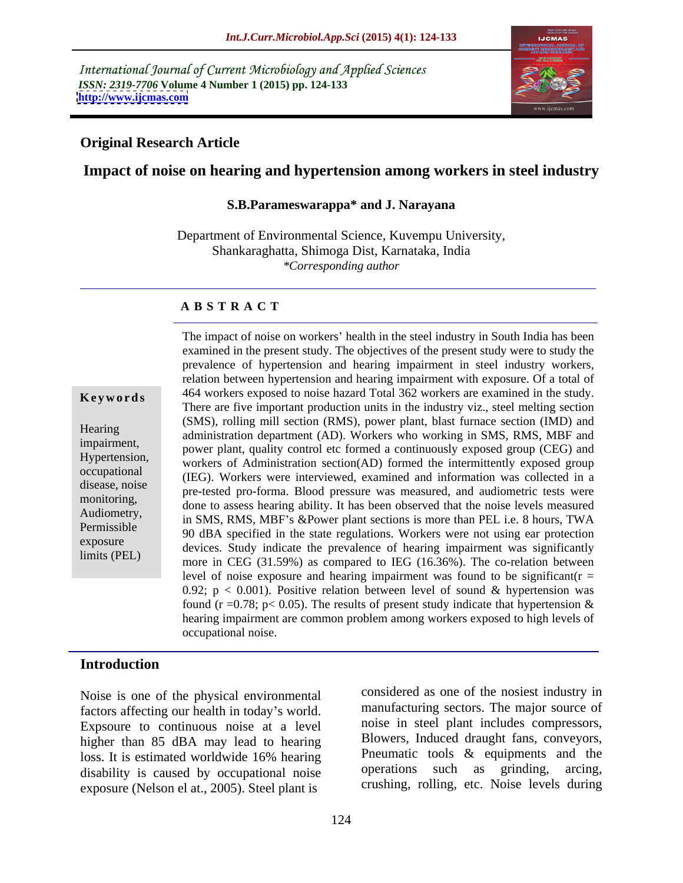International Journal of Current Microbiology and Applied Sciences *ISSN: 2319-7706* **Volume 4 Number 1 (2015) pp. 124-133 <http://www.ijcmas.com>**



### **Original Research Article**

# **Impact of noise on hearing and hypertension among workers in steel industry**

#### **S.B.Parameswarappa\* and J. Narayana**

Department of Environmental Science, Kuvempu University, Shankaraghatta, Shimoga Dist, Karnataka, India *\*Corresponding author* 

#### **A B S T R A C T**

limits (PEL)

The impact of noise on workers' health in the steel industry in South India has been examined in the present study. The objectives of the present study were to study the prevalence of hypertension and hearing impairment in steel industry workers, relation between hypertension and hearing impairment with exposure. Of a total of **Keywords** 464 workers exposed to noise hazard Total 362 workers are examined in the study. There are five important production units in the industry viz., steel melting section (SMS), rolling mill section (RMS), power plant, blast furnace section (IMD) and Hearing<br>administration department (AD). Workers who working in SMS, RMS, MBF and impairment,<br>
power plant, quality control etc formed a continuously exposed group (CEG) and Hypertension,<br>workers of Administration section(AD) formed the intermittently exposed group  $\frac{\text{wortex of Hamiltonian}}{\text{(IEG)}}$ . Workers were interviewed, examined and information was collected in a disease, noise<br>pre-tested pro-forma. Blood pressure was measured, and audiometric tests were monitoring,<br>done to assess hearing ability. It has been observed that the noise levels measured Audiometry,<br>
in SMS, RMS, MBF's &Power plant sections is more than PEL i.e. 8 hours, TWA Permissible<br>
90 dBA specified in the state regulations. Workers were not using ear protection exposure<br>devices. Study indicate the prevalence of hearing impairment was significantly more in CEG (31.59%) as compared to IEG (16.36%). The co-relation between level of noise exposure and hearing impairment was found to be significant( $r =$ 0.92;  $p < 0.001$ ). Positive relation between level of sound & hypertension was found (r = 0.78; p < 0.05). The results of present study indicate that hypertension  $\&$ hearing impairment are common problem among workers exposed to high levels of occupational noise.

### **Introduction**

Noise is one of the physical environmental factors affecting our health in today's world. Expsoure to continuous noise at a level higher than 85 dBA may lead to hearing exposure (Nelson el at., 2005). Steel plant is

loss. It is estimated worldwide 16% hearing **Preumatic tools & equipments** and the disability is caused by occupational noise operations such as grinding, arcing, considered as one of the nosiest industry in manufacturing sectors. The major source of noise in steel plant includes compressors, Blowers, Induced draught fans, conveyors, Pneumatic tools & equipments and the operations such as grinding, crushing, rolling, etc. Noise levels during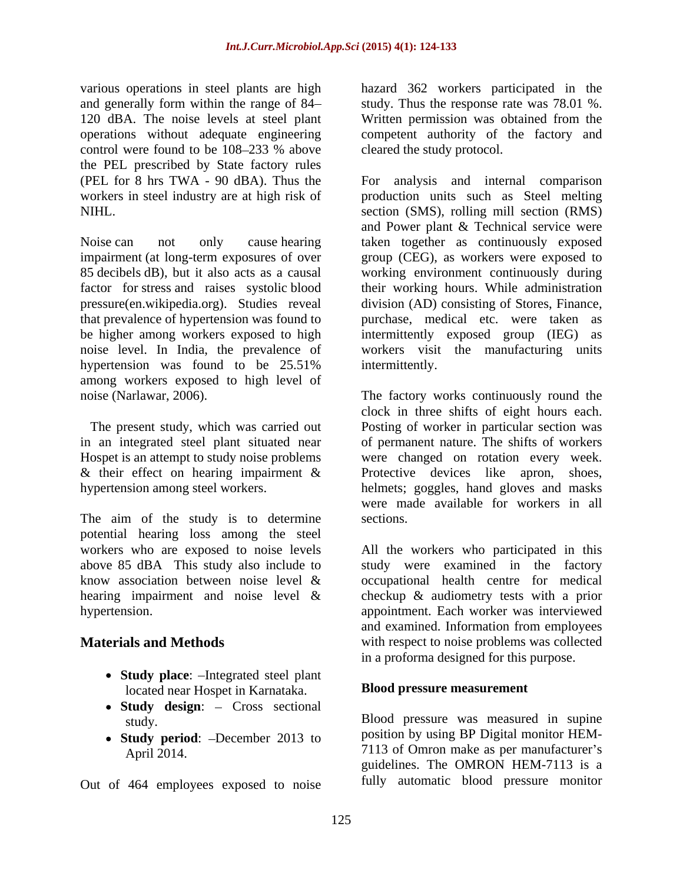120 dBA. The noise levels at steel plant Written permission was obtained from the operations without adequate engineering<br>control were found to be 108–233 % above control were found to be 108–233 % above cleared the study protocol. the PEL prescribed by State factory rules

pressure(en.wikipedia.org). Studies reveal hypertension was found to be 25.51% intermittently. among workers exposed to high level of

The present study, which was carried out & their effect on hearing impairment &

The aim of the study is to determine sections. potential hearing loss among the steel above 85 dBA This study also include to

- **Study place:** -Integrated steel plant located near Hospet in Karnataka.
- Study design: Cross sectional
- **Study period**: -December 2013 to

Out of 464 employees exposed to noise

various operations in steel plants are high hazard 362 workers participated in the and generally form within the range of 84— study. Thus the response rate was 78.01 %. Written permission was obtained from the competent authority of the factory and cleared the study protocol.

(PEL for 8 hrs TWA - 90 dBA). Thus the For analysis and internal comparison workers in steel industry are at high risk of production units such as Steel melting NIHL. section (SMS), rolling mill section (RMS) Noise can not only cause hearing taken together as continuously exposed impairment (at long-term exposures of over group (CEG), as workers were exposed to 85 decibels dB), but it also acts as a causal working environment continuously during factor for stress and raises systolic blood their working hours. While administration that prevalence of hypertension was found to purchase, medical etc. were taken as be higher among workers exposed to high intermittently exposed group (IEG) as noise level. In India, the prevalence of workers visit the manufacturing units and Power plant & Technical service were division (AD) consisting of Stores, Finance, intermittently.

noise (Narlawar, 2006). The factory works continuously round the in an integrated steel plant situated near of permanent nature. The shifts of workers Hospet is an attempt to study noise problems were changed on rotation every week. hypertension among steel workers. helmets; goggles, hand gloves and masks clock in three shifts of eight hours each. Posting of worker in particular section was Protective devices like apron, shoes, were made available for workers in all sections.

workers who are exposed to noise levels All the workers who participated in this know association between noise level & occupational health centre for medical hearing impairment and noise level & checkup & audiometry tests with a prior hypertension. appointment. Each worker was interviewed **Materials and Methods** with respect to noise problems was collected study were examined in the factory and examined. Information from employees in a proforma designed for this purpose.

# **Blood pressure measurement**

study. Blood pressure was measured in supine April 2014. 2014. position by using BP Digital monitor HEM guidelines. The OMRON HEM-7113 is a fully automatic blood pressure monitor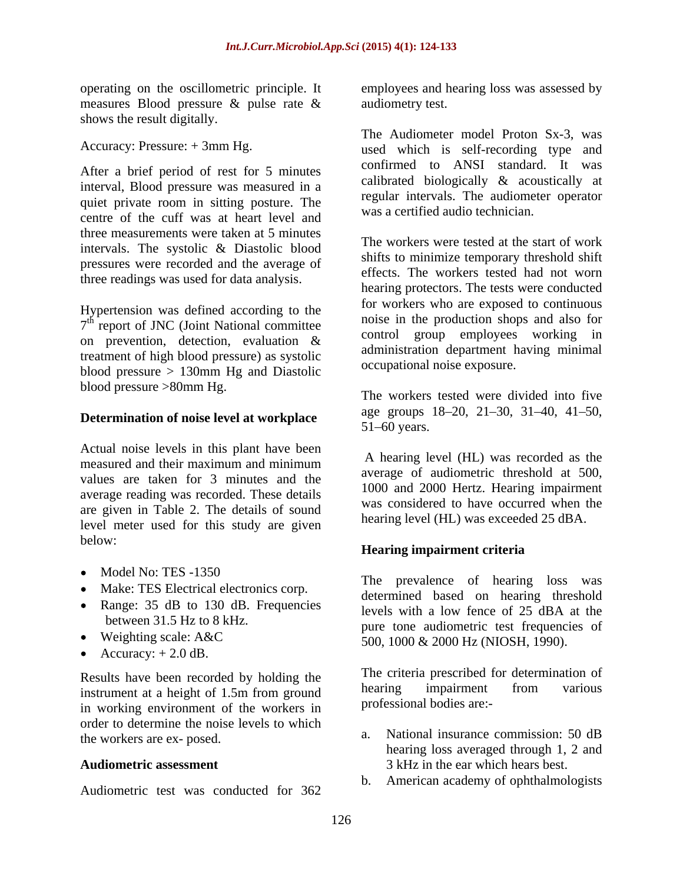operating on the oscillometric principle. It measures Blood pressure & pulse rate & shows the result digitally.

After a brief period of rest for 5 minutes interval, Blood pressure was measured in a quiet private room in sitting posture. The centre of the cuff was at heart level and three measurements were taken at 5 minutes intervals. The systolic & Diastolic blood pressures were recorded and the average of three readings was used for data analysis.

Hypertension was defined according to the on prevention, detection, evaluation & treatment of high blood pressure) as systolic blood pressure > 130mm Hg and Diastolic blood pressure >80mm Hg.

# **Determination of noise level at workplace** and  $\frac{a}{51}$  and  $\frac{a}{51}$  of  $\frac{b}{51}$  are groups

Actual noise levels in this plant have been measured and their maximum and minimum  $A$  liearing level (IIL) was recorded as the values are taken for 3 minutes and the average reading was recorded. These details are given in Table 2. The details of sound level meter used for this study are given below:

- 
- Make: TES Electrical electronics corp.
- Range: 35 dB to 130 dB. Frequencies
- 
- Accuracy:  $+2.0$  dB.

Results have been recorded by holding the the criteria prescribed for determination of<br>instrument at a bajabit of 1.5m from around hearing impairment from various instrument at a height of 1.5m from ground in working environment of the workers in order to determine the noise levels to which<br>the workers are an example a. National insurance commission: 50 dB the workers are ex- posed.

Audiometric test was conducted for 362 b.

employees and hearing loss was assessed by audiometry test.

Accuracy: Pressure: + 3mm Hg. used which is self-recording type and The Audiometer model Proton Sx-3, was confirmed to ANSI standard. It was calibrated biologically & acoustically at regular intervals. The audiometer operator was a certified audio technician.

 $7<sup>th</sup>$  report of JNC (Joint National committee house in the production shops and also for The workers were tested at the start of work shifts to minimize temporary threshold shift effects. The workers tested had not worn hearing protectors. The tests were conducted for workers who are exposed to continuous noise in the production shops and also for control group employees working in administration department having minimal occupational noise exposure.

> The workers tested were divided into five age groups 18-20, 21-30, 31-40, 41-50,  $51 - 60$  years.

A hearing level (HL) was recorded as the average of audiometric threshold at 500, 1000 and 2000 Hertz. Hearing impairment was considered to have occurred when the hearing level (HL) was exceeded 25 dBA.

# **Hearing impairment criteria**

Model No: TES -1350 between 31.5 Hz to 8 kHz.<br>
pure tone audiometric test frequencies of Weighting scale:  $A & C$   $500 - 1000 & 2000$  Hz (NIOSH 1990) The prevalence of hearing loss was determined based on hearing threshold levels with a low fence of 25 dBA at the 500, 1000 & 2000 Hz (NIOSH, 1990).

> The criteria prescribed for determination of hearing impairment from various professional bodies are:-

- Audiometric assessment 3 kHz in the ear which hears best. a. National insurance commission: 50 dB hearing loss averaged through 1, 2 and
	- b. American academy of ophthalmologists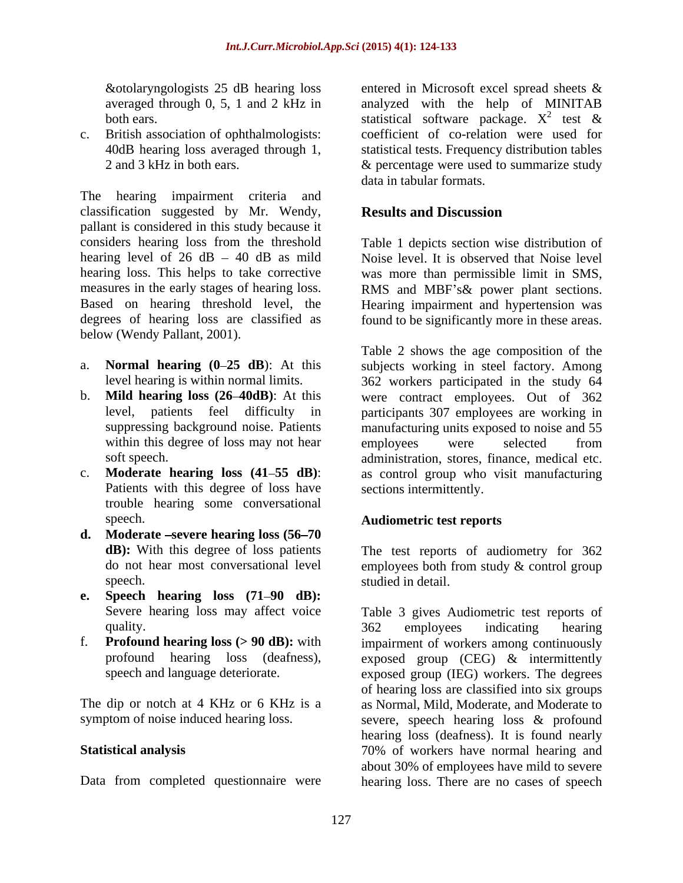The hearing impairment criteria and classification suggested by Mr. Wendy, pallant is considered in this study because it considers hearing loss from the threshold Table 1 depicts section wise distribution of hearing level of 26 dB – 40 dB as mild Noise level. It is observed that Noise level hearing loss. This helps to take corrective was more than permissible limit in SMS, measures in the early stages of hearing loss. RMS and MBF's & power plant sections. Based on hearing threshold level, the Hearing impairment and hypertension was degrees of hearing loss are classified as found to be significantly more in these areas. below (Wendy Pallant, 2001).

- 
- 
- Patients with this degree of loss have trouble hearing some conversational speech. **Audiometric test reports**
- **d. Moderate severe hearing loss (56 70**
- **e. Speech hearing loss (71 90 dB):**
- 

&otolaryngologists 25 dB hearing loss entered in Microsoft excel spread sheets & averaged through 0, 5, 1 and 2 kHz in analyzed with the help of MINITAB both ears.  $\blacksquare$  statistical software package.  $X^2$  test  $\&$ c. British association of ophthalmologists: coefficient of co-relation were used for 40dB hearing loss averaged through 1, statistical tests. Frequency distribution tables 2 and 3 kHz in both ears. & percentage were used to summarize study 2 to at  $\ell$ test & data in tabular formats.

# **Results and Discussion**

a. **Normal hearing** (0–25 dB): At this subjects working in steel factory. Among level hearing is within normal limits. 362 workers participated in the study 64 b. **Mild hearing loss (26 40dB)**: At this were contract employees. Out of 362 level, patients feel difficulty in participants 307 employees are working in suppressing background noise. Patients manufacturing units exposed to noise and 55 within this degree of loss may not hear employees were selected from soft speech. administration, stores, finance, medical etc. c. **Moderate hearing loss (41 55 dB)**: as control group who visit manufacturing Table 2 shows the age composition of the employees were selected from sections intermittently.

**dB):** With this degree of loss patients The test reports of audiometry for 362 do not hear most conversational level employees both from study & control group speech. Studied in detail.

Severe hearing loss may affect voice Table 3 gives Audiometric test reports of quality. The same state of the set of the set of the set of the set of the set of the set of the set of the set of the set of the set of the set of the set of the set of the set of the set of the set of the set of the set f. **Profound hearing loss (> 90 dB):** with impairment of workers among continuously profound hearing loss (deafness), exposed group (CEG) & intermittently speech and language deteriorate. exposed group (IEG) workers. The degrees The dip or notch at 4 KHz or 6 KHz is a as Normal, Mild, Moderate, and Moderate to symptom of noise induced hearing loss. severe, speech hearing loss & profound **Statistical analysis** 70% of workers have normal hearing and Data from completed questionnaire were hearing loss. There are no cases of speech362 employees indicating hearing of hearing loss are classified into six groups hearing loss (deafness). It is found nearly about 30% of employees have mild to severe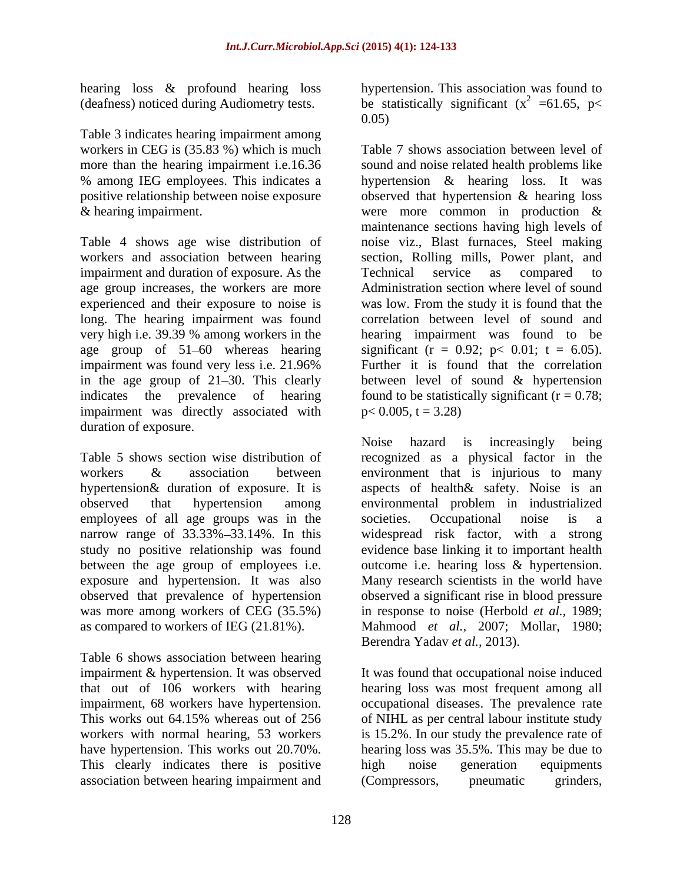hearing loss & profound hearing loss

Table 3 indicates hearing impairment among workers in CEG is (35.83 %) which is much

impairment and duration of exposure. As the Technical service as compared to age group increases, the workers are more age group of 51–60 whereas hearing significant  $(r = 0.92; p < 0.01; t = 6.05)$ . impairment was directly associated with duration of exposure.

employees of all age groups was in the societies. Occupational noise is a exposure and hypertension. It was also

Table 6 shows association between hearing This clearly indicates there is positive high noise generation equipments association between hearing impairment and (Compressors, produced prinders,

(deafness) noticed during Audiometry tests. be statistically significant ( $x^2$  =61.65, p< hypertension. This association was found to  $2^2$  =61.65, p< 0.05)

more than the hearing impairment i.e.16.36 sound and noise related health problems like % among IEG employees. This indicates a hypertension & hearing loss. It was positive relationship between noise exposure boserved that hypertension & hearing loss & hearing impairment. were more common in production & Table 4 shows age wise distribution of noise viz., Blast furnaces, Steel making workers and association between hearing section, Rolling mills, Power plant, and experienced and their exposure to noise is was low. From the study it is found that the long. The hearing impairment was found correlation between level of sound and very high i.e. 39.39 % among workers in the hearing impairment was found to be impairment was found very less i.e. 21.96% Further it is found that the correlation in the age group of 21–30. This clearly between level of sound & hypertension indicates the prevalence of hearing found to be statistically significant  $(r = 0.78;$ Table 7 shows association between level of maintenance sections having high levels of Technical service as compared to Administration section where level of sound significant (r = 0.92; p < 0.01; t = 6.05).<br>Further it is found that the correlation  $p < 0.005$ ,  $t = 3.28$ )

Table 5 shows section wise distribution of recognized as a physical factor in the workers & association between environment that is injurious to many hypertension& duration of exposure. It is aspects of health& safety. Noise is an observed that hypertension among environmental problem in industrialized narrow range of 33.33%–33.14%. In this widespread risk factor, with a strong study no positive relationship was found evidence base linking it to important health between the age group of employees i.e. outcome i.e. hearing loss & hypertension. observed that prevalence of hypertension observed a significant rise in blood pressure was more among workers of CEG (35.5%) in response to noise (Herbold *et al.,* 1989; as compared to workers of IEG (21.81%). Mahmood *et al.,* 2007; Mollar, 1980; Noise hazard is increasingly being societies. Occupational noise is a Many research scientists in the world have Berendra Yadav *et al.,* 2013).

impairment & hypertension. It was observed It was found that occupational noise induced that out of 106 workers with hearing hearing loss was most frequent among all impairment, 68 workers have hypertension. occupational diseases. The prevalence rate This works out 64.15% whereas out of 256 of NIHL as per central labour institute study workers with normal hearing, 53 workers is 15.2%. In our study the prevalence rate of have hypertension. This works out 20.70%. hearing loss was 35.5%. This may be due to high noise generation equipments (Compressors, pneumatic grinders,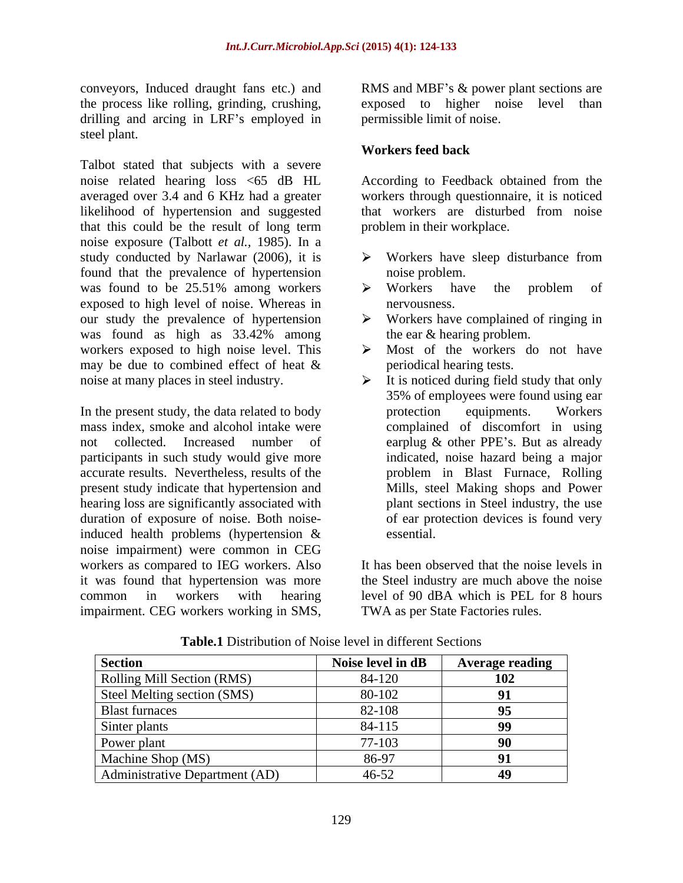conveyors, Induced draught fans etc.) and RMS and MBF's & power plant sections are the process like rolling, grinding, crushing, exposed to higher noise level than drilling and arcing in LRF's employed in steel plant.

Talbot stated that subjects with a severe noise related hearing loss <65 dB HL According to Feedback obtained from the averaged over 3.4 and 6 KHz had a greater workers through questionnaire, it is noticed likelihood of hypertension and suggested that this could be the result of long term noise exposure (Talbott *et al.,* 1985). In a study conducted by Narlawar (2006), it is  $\rightarrow$  Workers have sleep disturbance from found that the prevalence of hypertension was found to be 25.51% among workers  $\rightarrow$  Workers have the problem of exposed to high level of noise. Whereas in our study the prevalence of hypertension  $\rightarrow$ was found as high as 33.42% among the ear & hearing problem. workers exposed to high noise level. This  $\triangleright$ may be due to combined effect of heat & conveyors, Induced drangin frams etc.) and MBF's & power plant sections are<br>the process like rolling, grinding, crushing, exposed to higher noise level than<br>drilling and arcing in LRF's employed in permissible limit of noi

mass index, smoke and alcohol intake were complained of discomfort in using not collected. Increased number of earplug & other PPE's. But as already participants in such study would give more accurate results. Nevertheless, results of the present study indicate that hypertension and hearing loss are significantly associated with duration of exposure of noise. Both noiseinduced health problems (hypertension & noise impairment) were common in CEG workers as compared to IEG workers. Also it was found that hypertension was more

permissible limit of noise.

# **Workers feed back**

that workers are disturbed from noise problem in their workplace.

- Workers have sleep disturbance from noise problem.
- Workers have the problem of nervousness.
- Workers have complained of ringing in the ear & hearing problem.
- Most of the workers do not have periodical hearing tests.
- noise at many places in steel industry. It is noticed during field study that only In the present study, the data related to body protection equipments. Workers 35% of employees were found using ear protection equipments. Workers indicated, noise hazard being a major problem in Blast Furnace, Rolling Mills, steel Making shops and Power plant sections in Steel industry, the use of ear protection devices is found very essential.

common in workers with hearing level of 90 dBA which is PEL for 8 hours It has been observed that the noise levels in the Steel industry are much above the noise TWA as per State Factories rules.

| <b>Section</b>                        | Noise level in dB | <b>Average reading</b> |
|---------------------------------------|-------------------|------------------------|
| Rolling Mill Section (RMS)            | 84-120            | 102                    |
| Steel Melting section (SMS)           | 80-102            |                        |
| <b>Blast furnaces</b>                 | 82-108            |                        |
| Sinter plants                         | 84-115            | 99                     |
| Power plant                           | 77-103            | ሰሰ                     |
| Machine Shop (MS)                     | 86-97             |                        |
| <b>Administrative Department (AD)</b> | 46-52             | 49                     |

**Table.1** Distribution of Noise level in different Sections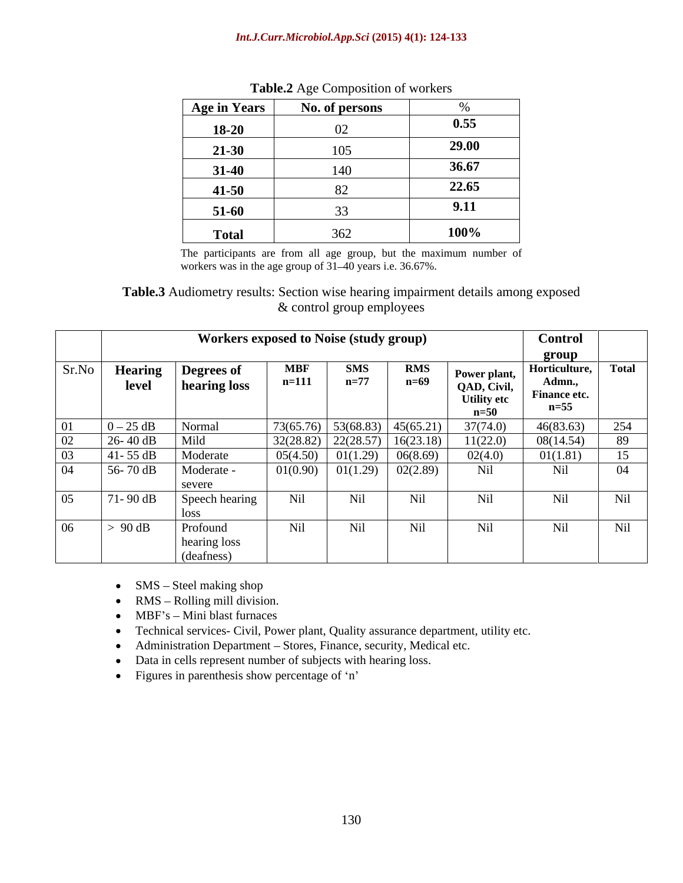#### *Int.J.Curr.Microbiol.App.Sci* **(2015) 4(1): 124-133**

| Age in Years | No. of persons |       |
|--------------|----------------|-------|
| 18-20        |                | 0.55  |
| $21 - 30$    | 105            | 29.00 |
| $31-40$      | 140            | 36.67 |
| $41 - 50$    | ◡▱             | 22.65 |
| $51-60$      |                | 9.11  |
| <b>Total</b> | 362            | 100%  |

| Table.2<br>-<br>$\ldots$ et Composition of workers<br><b>ULINULU</b> |  |
|----------------------------------------------------------------------|--|
|                                                                      |  |

The participants are from all age group, but the maximum number of workers was in the age group of  $31-40$  years i.e. 36.67%.

**Table.3** Audiometry results: Section wise hearing impairment details among exposed & control group employees

|       |                         | Workers exposed to Noise (study group) |                       |                       |                      |                                                               | <b>Control</b><br>group                          |              |
|-------|-------------------------|----------------------------------------|-----------------------|-----------------------|----------------------|---------------------------------------------------------------|--------------------------------------------------|--------------|
| Sr.No | <b>Hearing</b><br>level | <b>Degrees of</b><br>hearing loss      | <b>MBF</b><br>$n=111$ | <b>SMS</b><br>$n=77$  | <b>RMS</b><br>$n=69$ | Power plant,<br>QAD, Civil,<br><b>Utility</b> etc<br>$n = 50$ | Horticulture,<br>Admn.<br>Finance etc.<br>$n=55$ | <b>Total</b> |
|       | $0-25$ dB               | Normal                                 | 73(65.76)             | $53(68.83)$ 45(65.21) |                      | 37(74.0)                                                      | 46(83.63)                                        | 254          |
| 02    | $26 - 40$ dB            | Mild                                   | 32(28.82)             | 22(28.57)             | 16(23.18)            | 11(22.0)                                                      | 08(14.54)                                        | 89           |
| 03    | $41 - 55$ dB            | Moderate                               | 05(4.50)              | 01(1.29)              | 06(8.69)             | 02(4.0)                                                       | 01(1.81)                                         | $\tau$<br>1J |
| 04    | 56-70 dB                | Moderate -<br>severe                   | 01(0.90)              | 01(1.29)              | 02(2.89)             | Nil                                                           | Nil                                              | 04           |
| 05    | 71-90 dB                | Speech hearing                         | Nil                   | Nil                   | Nil                  | Nil                                                           | Nil                                              | Nil          |
| 06    | $-90$ dB                | Profound<br>hearing loss<br>(deafness) | Nil                   | Nil                   | Nil                  | N <sub>i</sub> 1                                              | Nil                                              | Nil          |

- $\bullet$  SMS Steel making shop
- $\bullet$  RMS Rolling mill division.
- MBF's Mini blast furnaces
- Technical services- Civil, Power plant, Quality assurance department, utility etc.
- Administration Department Stores, Finance, security, Medical etc.
- Data in cells represent number of subjects with hearing loss.  $\bullet$
- Figures in parenthesis show percentage of 'n'  $\bullet$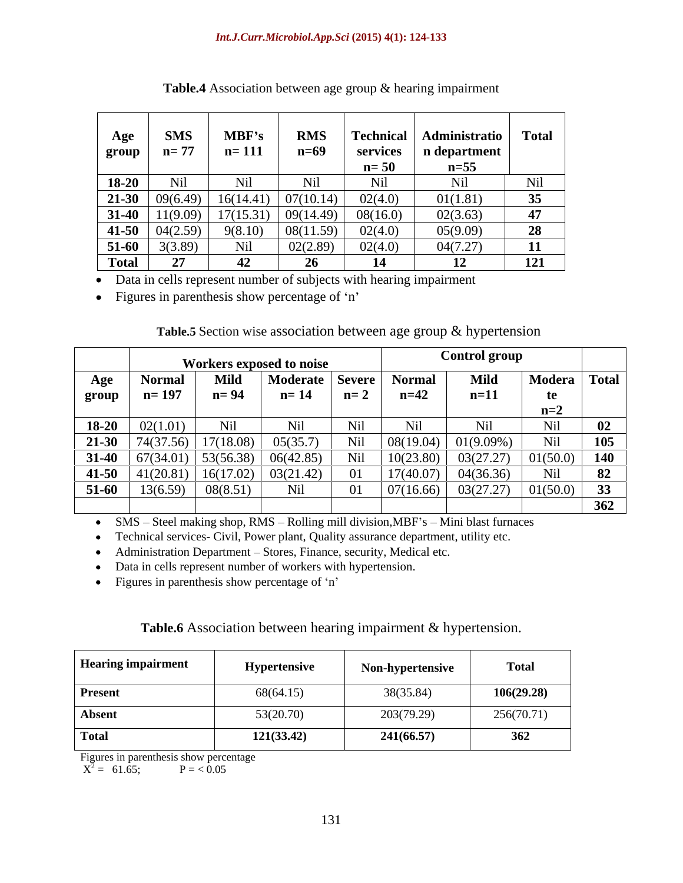| Age<br>group | <b>SMS</b><br>$n = 77$ | MBF's<br>$n = 111$ | <b>RMS</b><br>$n=69$ | <b>Technical</b><br>services<br>$n=50$ | Administratio<br>n department<br>$n=55$ | <b>Total</b> |
|--------------|------------------------|--------------------|----------------------|----------------------------------------|-----------------------------------------|--------------|
| 18-20        | Ni                     | Nil                | Nil                  | Nil                                    | Nil                                     | Nil          |
| $21-30$      | 09(6.49)               | 16(14.41)          | 07(10.14)            | 02(4.0)                                | 01(1.81)                                | 35           |
| $31-40$      | 1(9.09)                | 17(15.31)          | 09(14.49)            | 08(16.0)                               | 02(3.63)                                | 47           |
| $41 - 50$    | 04(2.59)               | 9(8.10)            | 08(11.59)            | 02(4.0)                                | 05(9.09)                                | 28           |
| 51-60        | 3(3.89)                | Nil                | 02(2.89)             | 02(4.0)                                | 04(7.27)                                | 11           |
| <b>Total</b> |                        | 42                 | ንհ                   | 14                                     |                                         | 121          |

| <b>Table.4</b> Association<br>Association between age of | group & hearing impairment |  |
|----------------------------------------------------------|----------------------------|--|
|                                                          |                            |  |

Data in cells represent number of subjects with hearing impairment  $\bullet$ 

Figures in parenthesis show percentage of 'n'  $\bullet$ 

# **Table.5** Section wise association between age group & hypertension

|           |               |             | Workers exposed to noise |               |               | <b>Control group</b> |         |              |
|-----------|---------------|-------------|--------------------------|---------------|---------------|----------------------|---------|--------------|
| Age       | <b>Normal</b> | <b>Mild</b> | Moderate                 | <b>Severe</b> | <b>Normal</b> | Mild                 | Modera  | <b>Total</b> |
| group     | $n=19'$       | $n = 94$    | $n = 14$                 | $n=2$         | $n = 42$      | $n=11$               |         |              |
|           |               |             |                          |               |               |                      | $n=2$   |              |
| $18 - 20$ | 02(1.01)      | Nii         | Nil                      | Nil           |               | N1l                  | Nil     | 02           |
| 21-30     | 74(37.56)     | 17(18.08)   | 05(35.7)                 | Nil           | 08(19.04)     | 01(9.09%)            | Nil     | 105          |
| $31 - 40$ | 57(34.01)     | 53(56.38)   | 06(42.85)                | Nil           | 10(23.80)     | 03(27.27)            | (50.0)  | 140          |
| $41 - 50$ | (20.81)       | 16(17.02)   | 03(21.42)                | 01            | 17(40.07)     | 04(36.36)            | Nil     | 82           |
| 51-60     | 13(6.59)      | 08(8.51)    | Nil                      | 01            | 07(16.66)     | 03(27.27)            | 1(50.0) | 33           |
|           |               |             |                          |               |               |                      |         | 362          |

SMS - Steel making shop, RMS - Rolling mill division, MBF's - Mini blast furnaces  $\bullet$ 

Technical services- Civil, Power plant, Quality assurance department, utility etc.  $\bullet$ 

Administration Department - Stores, Finance, security, Medical etc.  $\bullet$ 

Data in cells represent number of workers with hypertension.  $\bullet$ 

 $\bullet$ Figures in parenthesis show percentage of 'n'

# **Table.6** Association between hearing impairment & hypertension.

| <b>Hearing impairment</b> | Hypertensive | Non-hypertensive | <b>Total</b> |
|---------------------------|--------------|------------------|--------------|
| <b>Present</b>            | 68(64.15)    | 38(35.84)        | 106(29.28)   |
| Absent                    | 53(20.70)    | 203(79.29)       | 256(70.71)   |
| <b>Total</b>              | 121(33.42)   | 241(66.57)       | 362          |

Figures in parenthesis show percentage

 $X^2 = 61.65;$   $P = <0.05$  $P = 61.65;$   $P = 6.05$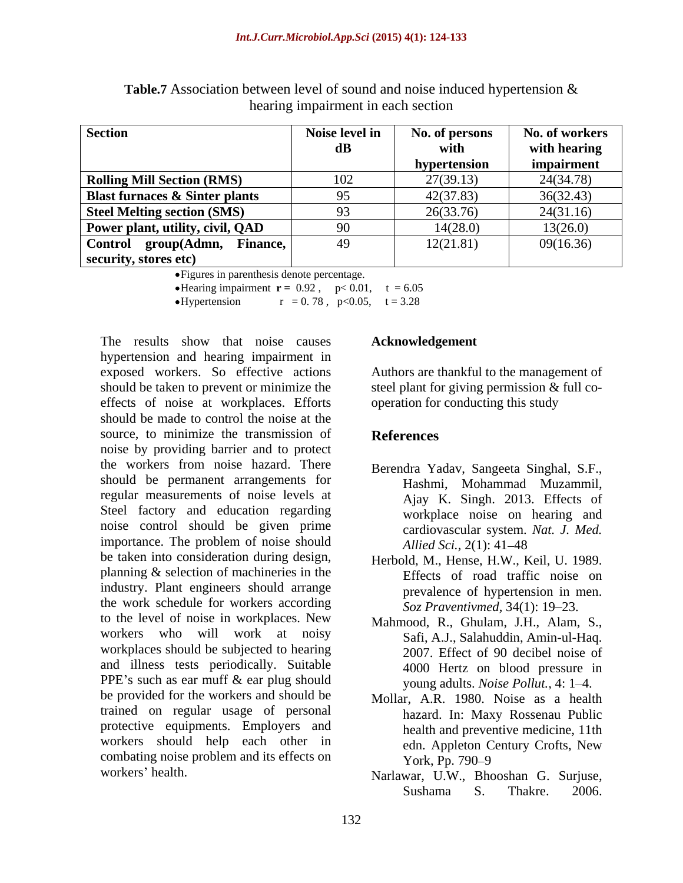| <b>Section</b>                            | Noise level in | No. of persons | No. of workers |
|-------------------------------------------|----------------|----------------|----------------|
|                                           | dВ.            | with           | with hearing   |
|                                           |                | hypertension   | impairment     |
| <b>Rolling Mill Section (RMS)</b>         | 102            | 27(39.13)      | 24(34.78)      |
| <b>Blast furnaces &amp; Sinter plants</b> |                | 42(37.83)      | 36(32.43)      |
| <b>Steel Melting section (SMS)</b>        |                | 26(33.76)      | 24(31.16)      |
| Power plant, utility, civil, QAD          | 90.            | 14(28.0)       | 13(26.0)       |
| group(Admn,<br>Control<br>Finance,        | 49             | 12(21.81)      | 09(16.36)      |
| security, stores etc)                     |                |                |                |

**Table.7** Association between level of sound and noise induced hypertension & hearing impairment in each section

Figures in parenthesis denote percentage.

• Hearing impairment  $\mathbf{r} = 0.92$ ,  $p < 0.01$ ,  $t = 6.05$ 

Hypertension  $r = 0.78$ , p<0.05, t = 3.28

The results show that noise causes **Acknowledgement** hypertension and hearing impairment in exposed workers. So effective actions Authors are thankful to the management of should be taken to prevent or minimize the steel plant for giving permission & full coeffects of noise at workplaces. Efforts should be made to control the noise at the source, to minimize the transmission of **References** noise by providing barrier and to protect the workers from noise hazard. There Berendra Yaday, Sangeeta Singhal, S.E. should be permanent arrangements for regular measurements of noise levels at Steel factory and education regarding noise control should be given prime importance. The problem of noise should *Allied Sci.*, 2(1): 41–48 be taken into consideration during design, planning & selection of machineries in the industry. Plant engineers should arrange the work schedule for workers according to the level of noise in workplaces. New workers who will work at noisy workplaces should be subjected to hearing and illness tests periodically. Suitable PPE's such as ear muff  $\&$  ear plug should be provided for the workers and should be Mollar, A.R. 1980. Noise as a health trained on regular usage of personal protective equipments. Employers and workers should help each other in edn. Appleton Century Crofts, New combating noise problem and its effects on  $\gamma$  ork, Pp. 790–9

#### **Acknowledgement**

operation for conducting this study

# **References**

- Berendra Yadav, Sangeeta Singhal, S.F., Hashmi, Mohammad Muzammil, Ajay K. Singh. 2013. Effects of workplace noise on hearing and cardiovascular system. *Nat. J. Med. Allied Sci.,* 2(1): 41–48
- Herbold, M., Hense, H.W., Keil, U. 1989. Effects of road traffic noise on prevalence of hypertension in men. *Soz Praventivmed,* 34(1): 19–23.
- Mahmood, R., Ghulam, J.H., Alam, S., Safi, A.J., Salahuddin, Amin-ul-Haq. 2007. Effect of 90 decibel noise of 4000 Hertz on blood pressure in young adults. *Noise Pollut.*, 4: 1–4.
- hazard. In: Maxy Rossenau Public health and preventive medicine, 11th edn. Appleton Century Crofts, New York, Pp. 790–9
- workers health. Narlawar, U.W., Bhooshan G. Surjuse, Sushama S. Thakre. 2006.